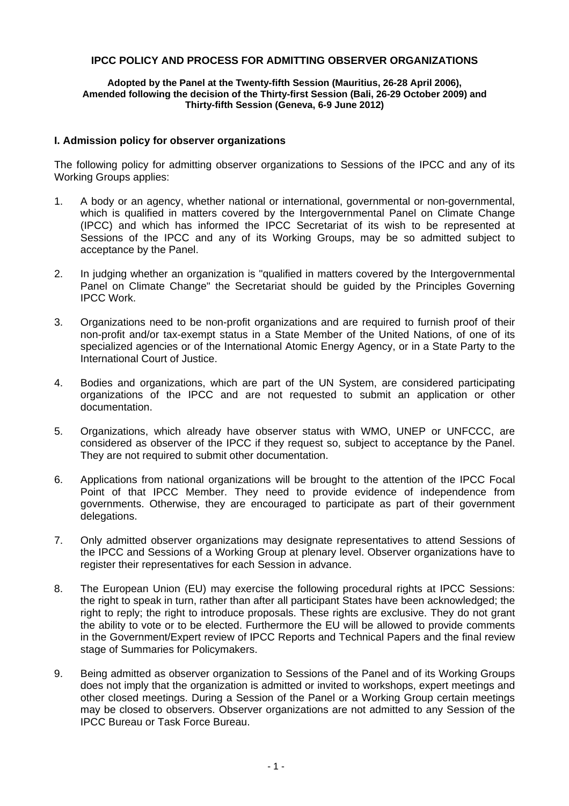## **IPCC POLICY AND PROCESS FOR ADMITTING OBSERVER ORGANIZATIONS**

## **Adopted by the Panel at the Twenty-fifth Session (Mauritius, 26-28 April 2006), Amended following the decision of the Thirty-first Session (Bali, 26-29 October 2009) and Thirty-fifth Session (Geneva, 6-9 June 2012)**

## **I. Admission policy for observer organizations**

The following policy for admitting observer organizations to Sessions of the IPCC and any of its Working Groups applies:

- 1. A body or an agency, whether national or international, governmental or non-governmental, which is qualified in matters covered by the Intergovernmental Panel on Climate Change (IPCC) and which has informed the IPCC Secretariat of its wish to be represented at Sessions of the IPCC and any of its Working Groups, may be so admitted subject to acceptance by the Panel.
- 2. In judging whether an organization is "qualified in matters covered by the Intergovernmental Panel on Climate Change" the Secretariat should be guided by the Principles Governing IPCC Work.
- 3. Organizations need to be non-profit organizations and are required to furnish proof of their non-profit and/or tax-exempt status in a State Member of the United Nations, of one of its specialized agencies or of the International Atomic Energy Agency, or in a State Party to the International Court of Justice.
- 4. Bodies and organizations, which are part of the UN System, are considered participating organizations of the IPCC and are not requested to submit an application or other documentation.
- 5. Organizations, which already have observer status with WMO, UNEP or UNFCCC, are considered as observer of the IPCC if they request so, subject to acceptance by the Panel. They are not required to submit other documentation.
- 6. Applications from national organizations will be brought to the attention of the IPCC Focal Point of that IPCC Member. They need to provide evidence of independence from governments. Otherwise, they are encouraged to participate as part of their government delegations.
- 7. Only admitted observer organizations may designate representatives to attend Sessions of the IPCC and Sessions of a Working Group at plenary level. Observer organizations have to register their representatives for each Session in advance.
- 8. The European Union (EU) may exercise the following procedural rights at IPCC Sessions: the right to speak in turn, rather than after all participant States have been acknowledged; the right to reply; the right to introduce proposals. These rights are exclusive. They do not grant the ability to vote or to be elected. Furthermore the EU will be allowed to provide comments in the Government/Expert review of IPCC Reports and Technical Papers and the final review stage of Summaries for Policymakers.
- 9. Being admitted as observer organization to Sessions of the Panel and of its Working Groups does not imply that the organization is admitted or invited to workshops, expert meetings and other closed meetings. During a Session of the Panel or a Working Group certain meetings may be closed to observers. Observer organizations are not admitted to any Session of the IPCC Bureau or Task Force Bureau.